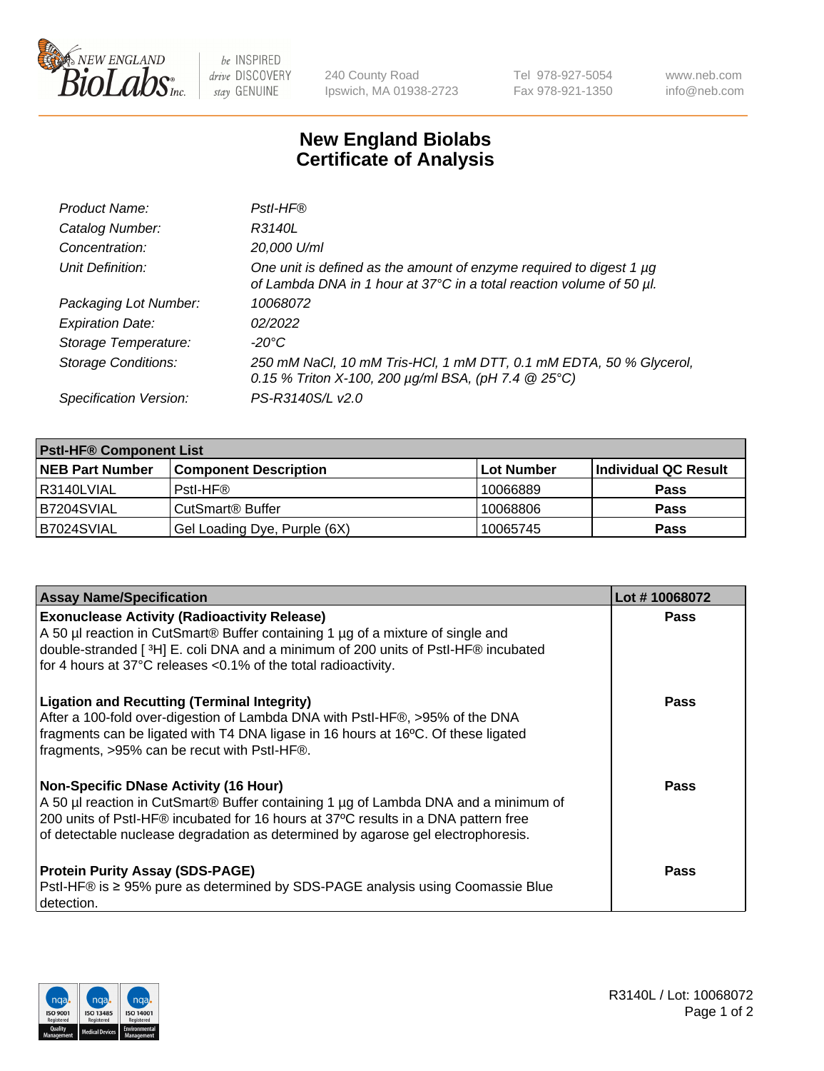

 $be$  INSPIRED drive DISCOVERY stay GENUINE

240 County Road Ipswich, MA 01938-2723 Tel 978-927-5054 Fax 978-921-1350 www.neb.com info@neb.com

## **New England Biolabs Certificate of Analysis**

| Product Name:              | Pstl-HF®                                                                                                                                             |
|----------------------------|------------------------------------------------------------------------------------------------------------------------------------------------------|
| Catalog Number:            | R3140L                                                                                                                                               |
| Concentration:             | 20,000 U/ml                                                                                                                                          |
| Unit Definition:           | One unit is defined as the amount of enzyme required to digest 1 µg<br>of Lambda DNA in 1 hour at 37°C in a total reaction volume of 50 µl.          |
| Packaging Lot Number:      | 10068072                                                                                                                                             |
| <b>Expiration Date:</b>    | 02/2022                                                                                                                                              |
| Storage Temperature:       | $-20^{\circ}$ C                                                                                                                                      |
| <b>Storage Conditions:</b> | 250 mM NaCl, 10 mM Tris-HCl, 1 mM DTT, 0.1 mM EDTA, 50 % Glycerol,<br>0.15 % Triton X-100, 200 $\mu$ g/ml BSA, (pH 7.4 $\textcircled{25}^{\circ}$ C) |
| Specification Version:     | PS-R3140S/L v2.0                                                                                                                                     |

| <b>Pstl-HF® Component List</b> |                              |            |                      |  |
|--------------------------------|------------------------------|------------|----------------------|--|
| <b>NEB Part Number</b>         | <b>Component Description</b> | Lot Number | Individual QC Result |  |
| I R3140LVIAL                   | Pstl-HF®                     | 10066889   | <b>Pass</b>          |  |
| IB7204SVIAL                    | CutSmart <sup>®</sup> Buffer | 10068806   | <b>Pass</b>          |  |
| B7024SVIAL                     | Gel Loading Dye, Purple (6X) | 10065745   | <b>Pass</b>          |  |

| <b>Assay Name/Specification</b>                                                                                                                                                                                                                                                                               | Lot #10068072 |
|---------------------------------------------------------------------------------------------------------------------------------------------------------------------------------------------------------------------------------------------------------------------------------------------------------------|---------------|
| <b>Exonuclease Activity (Radioactivity Release)</b><br>A 50 µl reaction in CutSmart® Buffer containing 1 µg of a mixture of single and<br>double-stranded [3H] E. coli DNA and a minimum of 200 units of PstI-HF® incubated<br>for 4 hours at 37°C releases <0.1% of the total radioactivity.                 | <b>Pass</b>   |
| <b>Ligation and Recutting (Terminal Integrity)</b><br>After a 100-fold over-digestion of Lambda DNA with PstI-HF®, >95% of the DNA<br>fragments can be ligated with T4 DNA ligase in 16 hours at 16°C. Of these ligated<br>fragments, >95% can be recut with PstI-HF®.                                        | Pass          |
| <b>Non-Specific DNase Activity (16 Hour)</b><br>A 50 µl reaction in CutSmart® Buffer containing 1 µg of Lambda DNA and a minimum of<br>200 units of PstI-HF® incubated for 16 hours at 37°C results in a DNA pattern free<br>of detectable nuclease degradation as determined by agarose gel electrophoresis. | Pass          |
| <b>Protein Purity Assay (SDS-PAGE)</b><br>PstI-HF® is ≥ 95% pure as determined by SDS-PAGE analysis using Coomassie Blue<br>I detection.                                                                                                                                                                      | Pass          |